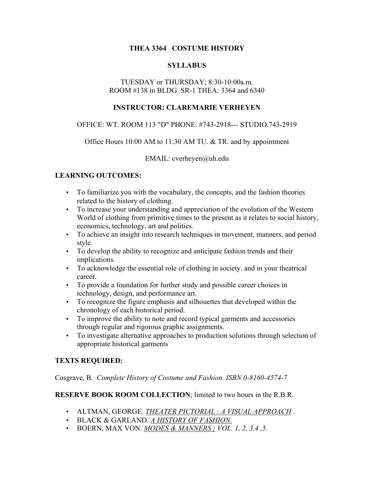## **THEA 3364 COSTUME HISTORY**

## **SYLLABUS**

## TUESDAY or THURSDAY; 8:30-10:00a.m. ROOM #138 in BLDG. SR-1 THEA: 3364 and 6340

## **INSTRUCTOR: CLAREMARIE VERHEYEN**

## OFFICE: WT. ROOM 113 "D" PHONE: #743-2918--- STUDIO.743-2919

## Office Hours 10:00 AM to 11:30 AM TU. & TR. and by appointment

EMAIL: cverheyen@uh.edu

## **LEARNING OUTCOMES:**

- To familiarize you with the vocabulary, the concepts, and the fashion theories related to the history of clothing.
- To increase your understanding and appreciation of the evolution of the Western World of clothing from primitive times to the present as it relates to social history, economics, technology, art and politics.
- To achieve an insight into research techniques in movement, manners, and period style.
- To develop the ability to recognize and anticipate fashion trends and their implications.
- To acknowledge the essential role of clothing in society. and in your theatrical career.
- To provide a foundation for further study and possible career choices in technology, design, and performance art.
- To recognize the figure emphasis and silhouettes that developed within the chronology of each historical period.
- To improve the ability to note and record typical garments and accessories through regular and rigorous graphic assignments.
- To investigate alternative approaches to production solutions through selection of appropriate historical garments

## **TEXTS REQUIRED:**

Cosgrave, B. *Complete History of Costume and Fashion. ISBN 0-8160-4574-7*

#### **RESERVE BOOK ROOM COLLECTION**; limited to two hours in the R.B.R.

- ALTMAN, GEORGE. *THEATER PICTORIAL* : *A VISUAL APPROACH .*
- BLACK & GARLAND. *A HISTORY OF FASHION.*
- BOERN, MAX VON. *MODES & MANNERS ; VOL. 1, 2, 3,4 ,5.*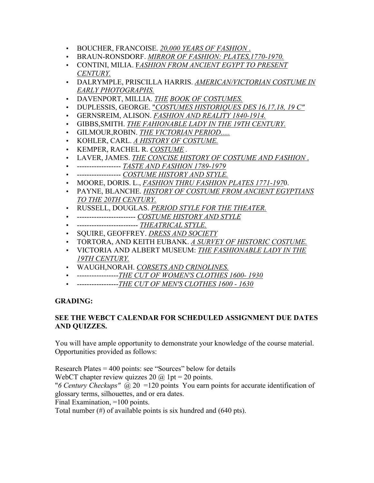- BOUCHER, FRANCOISE. *20,000 YEARS OF FASHION* .
- BRAUN-RONSDORF. *MIRROR OF FASHION: PLATES,1770-1970.*
- CONTINI, MILIA. F*ASHION FROM ANCIENT EGYPT TO PRESENT CENTURY.*
- DALRYMPLE, PRISCILLA HARRIS. *AMERICAN/VICTORIAN COSTUME IN EARLY PHOTOGRAPHS.*
- DAVENPORT, MILLIA. *THE BOOK OF COSTUMES.*
- DUPLESSIS, GEORGE. "*COSTUMES HISTORIQUES DES 16,17,18, 19 C"*
- GERNSREIM, ALISON. *FASHION AND REALITY 1840-1914.*
- GIBBS,SMITH. *THE FAHIONABLE LADY IN THE 19TH CENTURY.*
- GILMOUR,ROBIN. *THE VICTORIAN PERIOD.....*
- KOHLER, CARL. *A HISTORY OF COSTUME.*
- KEMPER, RACHEL R. *COSTUME .*
- LAVER, JAMES. *THE CONCISE HISTORY OF COSTUME AND FASHION* .
- ------------------ *TASTE AND FASHION 1789-1979*
- ------------------ *COSTUME HISTORY AND STYLE.*
- MOORE, DORIS. L., *FASHION THRU FASHION PLATES 1771-197*0.
- PAYNE, BLANCHE. *HISTORY OF COSTUME FROM ANCIENT EGYPTIANS TO THE 20TH CENTURY.*
- RUSSELL, DOUGLAS. *PERIOD STYLE FOR THE THEATER.*
- ------------------------ *COSTUME HISTORY AND STYLE*
- ------------------------- *THEATRICAL STYLE.*
- SQUIRE, GEOFFREY. *DRESS AND SOCIETY*
- TORTORA, AND KEITH EUBANK. *A SURVEY OF HISTORIC COSTUME.*
- VICTORIA AND ALBERT MUSEUM: *THE FASHIONABLE LADY IN THE 19TH CENTURY.*
- WAUGH,NORAH. *CORSETS AND CRINOLINES.*
- -----------------*THE CUT OF WOMEN'S CLOTHES 1600- 1930*
- -----------------*THE CUT OF MEN'S CLOTHES 1600 1630*

#### **GRADING:**

## **SEE THE WEBCT CALENDAR FOR SCHEDULED ASSIGNMENT DUE DATES AND QUIZZES.**

You will have ample opportunity to demonstrate your knowledge of the course material. Opportunities provided as follows:

Research Plates = 400 points: see "Sources" below for details WebCT chapter review quizzes 20  $\omega$  1pt = 20 points. "*6 Century Checkups"* @ 20 =120 points You earn points for accurate identification of glossary terms, silhouettes, and or era dates. Final Examination, =100 points. Total number (#) of available points is six hundred and (640 pts).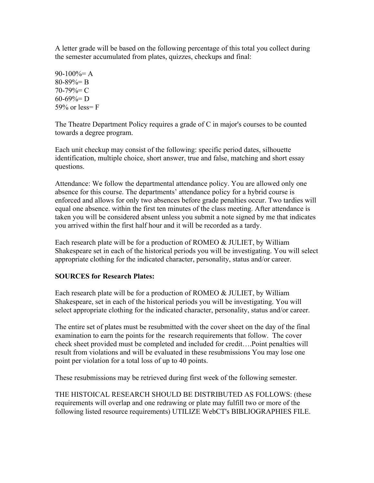A letter grade will be based on the following percentage of this total you collect during the semester accumulated from plates, quizzes, checkups and final:

 $90-100% = A$  $80 - 89\% = B$  $70-79\%$  = C  $60-69\% = D$ 59% or less= $F$ 

The Theatre Department Policy requires a grade of C in major's courses to be counted towards a degree program.

Each unit checkup may consist of the following: specific period dates, silhouette identification, multiple choice, short answer, true and false, matching and short essay questions.

Attendance: We follow the departmental attendance policy. You are allowed only one absence for this course. The departments' attendance policy for a hybrid course is enforced and allows for only two absences before grade penalties occur. Two tardies will equal one absence. within the first ten minutes of the class meeting. After attendance is taken you will be considered absent unless you submit a note signed by me that indicates you arrived within the first half hour and it will be recorded as a tardy.

Each research plate will be for a production of ROMEO & JULIET, by William Shakespeare set in each of the historical periods you will be investigating. You will select appropriate clothing for the indicated character, personality, status and/or career.

## **SOURCES for Research Plates:**

Each research plate will be for a production of ROMEO & JULIET, by William Shakespeare, set in each of the historical periods you will be investigating. You will select appropriate clothing for the indicated character, personality, status and/or career.

The entire set of plates must be resubmitted with the cover sheet on the day of the final examination to earn the points for the research requirements that follow. The cover check sheet provided must be completed and included for credit….Point penalties will result from violations and will be evaluated in these resubmissions You may lose one point per violation for a total loss of up to 40 points.

These resubmissions may be retrieved during first week of the following semester.

THE HISTOICAL RESEARCH SHOULD BE DISTRIBUTED AS FOLLOWS: (these requirements will overlap and one redrawing or plate may fulfill two or more of the following listed resource requirements) UTILIZE WebCT's BIBLIOGRAPHIES FILE.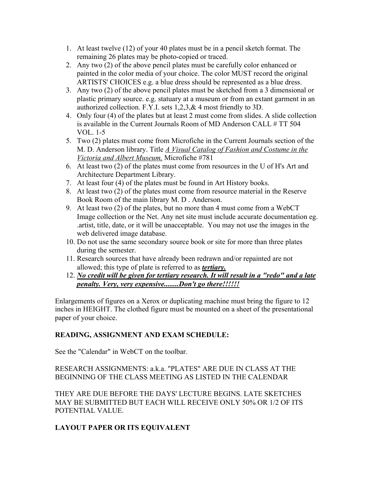- 1. At least twelve (12) of your 40 plates must be in a pencil sketch format. The remaining 26 plates may be photo-copied or traced.
- 2. Any two (2) of the above pencil plates must be carefully color enhanced or painted in the color media of your choice. The color MUST record the original ARTISTS' CHOICES e.g. a blue dress should be represented as a blue dress.
- 3. Any two (2) of the above pencil plates must be sketched from a 3 dimensional or plastic primary source. e.g. statuary at a museum or from an extant garment in an authorized collection. F.Y.I. sets 1,2,3,& 4 most friendly to 3D.
- 4. Only four (4) of the plates but at least 2 must come from slides. A slide collection is available in the Current Journals Room of MD Anderson CALL # TT 504 VOL. 1-5
- 5. Two (2) plates must come from Microfiche in the Current Journals section of the M. D. Anderson library. Title *A Visual Catalog of Fashion and Costume in the Victoria and Albert Museum,* Microfiche #781
- 6. At least two (2) of the plates must come from resources in the U of H's Art and Architecture Department Library.
- 7. At least four (4) of the plates must be found in Art History books.
- 8. At least two (2) of the plates must come from resource material in the Reserve Book Room of the main library M. D . Anderson.
- 9. At least two (2) of the plates, but no more than 4 must come from a WebCT Image collection or the Net. Any net site must include accurate documentation eg. .artist, title, date, or it will be unacceptable. You may not use the images in the web delivered image database.
- 10. Do not use the same secondary source book or site for more than three plates during the semester.
- 11. Research sources that have already been redrawn and/or repainted are not allowed; this type of plate is referred to as *tertiary.*
- 12. *No credit will be given for tertiary research. It will result in a "redo" and a late penalty. Very, very expensive........Don't go there!!!!!!*

Enlargements of figures on a Xerox or duplicating machine must bring the figure to 12 inches in HEIGHT. The clothed figure must be mounted on a sheet of the presentational paper of your choice.

# **READING, ASSIGNMENT AND EXAM SCHEDULE:**

See the "Calendar" in WebCT on the toolbar.

RESEARCH ASSIGNMENTS: a.k.a. "PLATES" ARE DUE IN CLASS AT THE BEGINNING OF THE CLASS MEETING AS LISTED IN THE CALENDAR

THEY ARE DUE BEFORE THE DAYS' LECTURE BEGINS. LATE SKETCHES MAY BE SUBMITTED BUT EACH WILL RECEIVE ONLY 50% OR 1/2 OF ITS POTENTIAL VALUE.

# **LAYOUT PAPER OR ITS EQUIVALENT**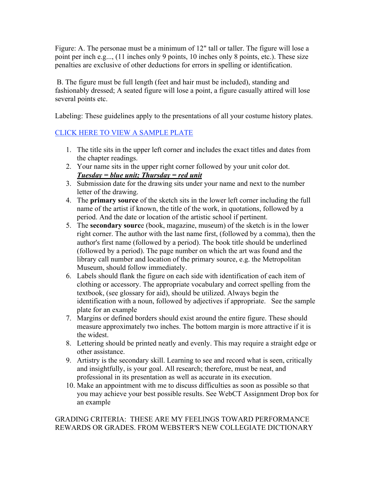Figure: A. The personae must be a minimum of 12" tall or taller. The figure will lose a point per inch e.g..., (11 inches only 9 points, 10 inches only 8 points, etc.). These size penalties are exclusive of other deductions for errors in spelling or identification.

 B. The figure must be full length (feet and hair must be included), standing and fashionably dressed; A seated figure will lose a point, a figure casually attired will lose several points etc.

Labeling: These guidelines apply to the presentations of all your costume history plates.

# CLICK HERE TO VIEW A SAMPLE PLATE

- 1. The title sits in the upper left corner and includes the exact titles and dates from the chapter readings.
- 2. Your name sits in the upper right corner followed by your unit color dot. *Tuesday = blue unit; Thursday = red unit*
- 3. Submission date for the drawing sits under your name and next to the number letter of the drawing.
- 4. The **primary source** of the sketch sits in the lower left corner including the full name of the artist if known, the title of the work, in quotations, followed by a period. And the date or location of the artistic school if pertinent.
- 5. The **secondary sourc**e (book, magazine, museum) of the sketch is in the lower right corner. The author with the last name first, (followed by a comma), then the author's first name (followed by a period). The book title should be underlined (followed by a period). The page number on which the art was found and the library call number and location of the primary source, e.g. the Metropolitan Museum, should follow immediately.
- 6. Labels should flank the figure on each side with identification of each item of clothing or accessory. The appropriate vocabulary and correct spelling from the textbook, (see glossary for aid), should be utilized. Always begin the identification with a noun, followed by adjectives if appropriate. See the sample plate for an example
- 7. Margins or defined borders should exist around the entire figure. These should measure approximately two inches. The bottom margin is more attractive if it is the widest.
- 8. Lettering should be printed neatly and evenly. This may require a straight edge or other assistance.
- 9. Artistry is the secondary skill. Learning to see and record what is seen, critically and insightfully, is your goal. All research; therefore, must be neat, and professional in its presentation as well as accurate in its execution.
- 10. Make an appointment with me to discuss difficulties as soon as possible so that you may achieve your best possible results. See WebCT Assignment Drop box for an example

## GRADING CRITERIA: THESE ARE MY FEELINGS TOWARD PERFORMANCE REWARDS OR GRADES. FROM WEBSTER'S NEW COLLEGIATE DICTIONARY